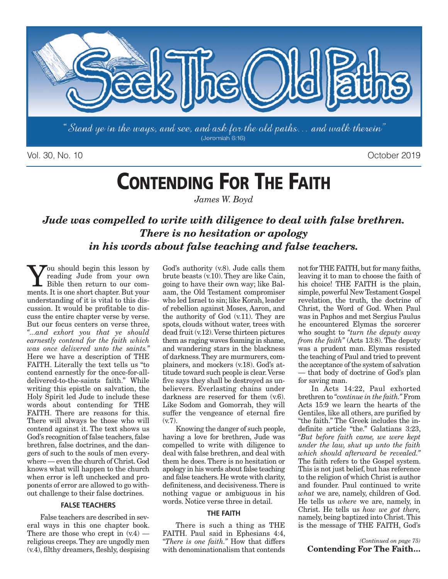

Vol. 30, No. 10 October 2019

# **CONTENDING FOR THE FAITH**

*James W. Boyd*

### *Jude was compelled to write with diligence to deal with false brethren. There is no hesitation or apology in his words about false teaching and false teachers.*

**You** should begin this lesson by<br>
Fible then return to our com-<br>
monts It is one short chapter But your reading Jude from your own ments. It is one short chapter. But your understanding of it is vital to this discussion. It would be profitable to discuss the entire chapter verse by verse. But our focus centers on verse three, *"...and exhort you that ye should earnestly contend for the faith which was once delivered unto the saints."* Here we have a description of THE FAITH. Literally the text tells us "to contend earnestly for the once-for-alldelivered-to-the-saints faith." While writing this epistle on salvation, the Holy Spirit led Jude to include these words about contending for THE FAITH. There are reasons for this. There will always be those who will contend against it. The text shows us God's recognition of false teachers, false brethren, false doctrines, and the dangers of such to the souls of men everywhere — even the church of Christ. God knows what will happen to the church when error is left unchecked and proponents of error are allowed to go without challenge to their false doctrines.

#### **FALSE TEACHERS**

False teachers are described in several ways in this one chapter book. There are those who crept in  $(v.4)$  religious creeps. They are ungodly men (v.4), filthy dreamers, fleshly, despising God's authority (v.8). Jude calls them brute beasts (v.10). They are like Cain, going to have their own way; like Balaam, the Old Testament compromiser who led Israel to sin; like Korah, leader of rebellion against Moses, Aaron, and the authority of God (v.11). They are spots, clouds without water, trees with dead fruit (v.12). Verse thirteen pictures them as raging waves foaming in shame, and wandering stars in the blackness of darkness. They are murmurers, complainers, and mockers (v.18). God's attitude toward such people is clear. Verse five says they shall be destroyed as unbelievers. Everlasting chains under darkness are reserved for them  $(v.6)$ . Like Sodom and Gomorrah, they will suffer the vengeance of eternal fire (v.7).

Knowing the danger of such people, having a love for brethren, Jude was compelled to write with diligence to deal with false brethren, and deal with them he does. There is no hesitation or apology in his words about false teaching and false teachers. He wrote with clarity, definiteness, and decisiveness. There is nothing vague or ambiguous in his words. Notice verse three in detail.

#### **THE FAITH**

There is such a thing as THE FAITH. Paul said in Ephesians 4:4, *"There is one faith."* How that differs with denominationalism that contends

not for THE FAITH, but for many faiths, leaving it to man to choose the faith of his choice! THE FAITH is the plain, simple, powerful New Testament Gospel revelation, the truth, the doctrine of Christ, the Word of God. When Paul was in Paphos and met Sergius Paulus he encountered Elymas the sorcerer who sought to *"turn the deputy away from the faith"* (Acts 13:8). The deputy was a prudent man. Elymas resisted the teaching of Paul and tried to prevent the acceptance of the system of salvation — that body of doctrine of God's plan for saving man.

In Acts 14:22, Paul exhorted brethren to *"continue in the faith."* From Acts 15:9 we learn the hearts of the Gentiles, like all others, are purified by "the faith." The Greek includes the indefinite article "the." Galatians 3:23, *"But before faith came, we were kept under the law, shut up unto the faith which should afterward be revealed."* The faith refers to the Gospel system. This is not just belief, but has reference to the religion of which Christ is author and founder. Paul continued to write *what* we are, namely, children of God. He tells us *where* we are, namely, in Christ. He tells us *how we got there,* namely, being baptized into Christ. This is the message of THE FAITH, God's

*(Continued on page 75)* **Contending For The Faith…**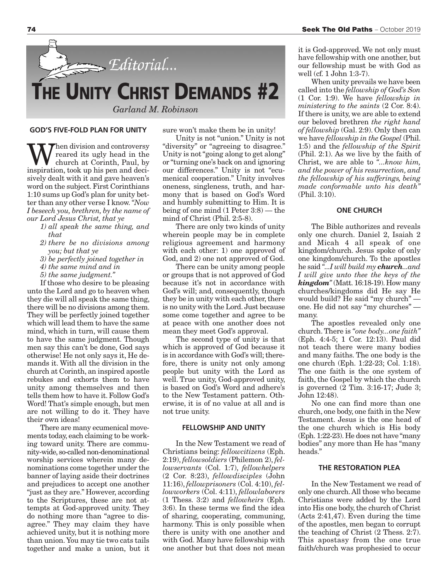

#### **GOD'S FIVE-FOLD PLAN FOR UNITY**

When division and controversy<br>church at Corinth, Paul, by<br>inspiration took up his pop and docireared its ugly head in the inspiration, took up his pen and decisively dealt with it and gave heaven's word on the subject. First Corinthians 1:10 sums up God's plan for unity better than any other verse I know. *"Now I beseech you, brethren, by the name of our Lord Jesus Christ, that ye*

- *1) all speak the same thing, and that*
- *2) there be no divisions among you; but that ye*
- *3) be perfectly joined together in*
- *4) the same mind and in*
- *5) the same judgment."*

If those who desire to be pleasing unto the Lord and go to heaven when they die will all speak the same thing, there will be no divisions among them. They will be perfectly joined together which will lead them to have the same mind, which in turn, will cause them to have the same judgment. Though men say this can't be done, God says otherwise! He not only says it, He demands it. With all the division in the church at Corinth, an inspired apostle rebukes and exhorts them to have unity among themselves and then tells them how to have it. Follow God's Word! That's simple enough, but men are not willing to do it. They have their own ideas!

There are many ecumenical movements today, each claiming to be working toward unity. There are community-wide, so-called non-denominational worship services wherein many denominations come together under the banner of laying aside their doctrines and prejudices to accept one another "just as they are." However, according to the Scriptures, these are not attempts at God-approved unity. They do nothing more than "agree to disagree." They may claim they have achieved unity, but it is nothing more than union. You may tie two cats tails together and make a union, but it sure won't make them be in unity!

Unity is not "union." Unity is not "diversity" or "agreeing to disagree." Unity is not "going along to get along" or "turning one's back on and ignoring our differences." Unity is not "ecumenical cooperation." Unity involves oneness, singleness, truth, and harmony that is based on God's Word and humbly submitting to Him. It is being of one mind (1 Peter 3:8) — the mind of Christ (Phil. 2:5-8).

There are only two kinds of unity wherein people may be in complete religious agreement and harmony with each other: 1) one approved of God, and 2) one not approved of God.

There can be unity among people or groups that is not approved of God because it's not in accordance with God's will; and, consequently, though they be in unity with each other, there is no unity with the Lord. Just because some come together and agree to be at peace with one another does not mean they meet God's approval.

The second type of unity is that which is approved of God because it is in accordance with God's will; therefore, there is unity not only among people but unity with the Lord as well. True unity, God-approved unity, is based on God's Word and adhere's to the New Testament pattern. Otherwise, it is of no value at all and is not true unity.

#### **FELLOWSHIP AND UNITY**

In the New Testament we read of Christians being: *fellowcitizens* (Eph. 2:19), *fellowsoldiers* (Philemon 2), *fellowservants* (Col. 1:7), *fellowhelpers* (2 Cor. 8:23), *fellowdisciples* (John 11:16), *fellowprisoners* (Col. 4:10), *fellowworkers* (Col. 4:11), *fellowlaborers* (1 Thess. 3:2) and *fellowheirs* (Eph. 3:6). In these terms we find the idea of sharing, cooperating, communing, harmony. This is only possible when there is unity with one another and with God. Many have fellowship with one another but that does not mean

it is God-approved. We not only must have fellowship with one another, but our fellowship must be with God as well (cf. 1 John 1:3-7).

When unity prevails we have been called into the *fellowship of God's Son* (1 Cor. 1:9). We have *fellowship in ministering to the saints* (2 Cor. 8:4). If there is unity, we are able to extend our beloved brethren *the right hand of fellowship* (Gal. 2:9). Only then can we have *fellowship in the Gospel* (Phil. 1:5) and the *fellowship of the Spirit* (Phil. 2:1). As we live by the faith of Christ, we are able to *"...know him, and the power of his resurrection, and the fellowship of his sufferings, being made conformable unto his death"* (Phil. 3:10).

#### **ONE CHURCH**

The Bible authorizes and reveals only one church. Daniel 2, Isaiah 2 and Micah 4 all speak of one kingdom/church. Jesus spoke of only one kingdom/church. To the apostles he said *"...I will build my church...and I will give unto thee the keys of the kingdom"* (Matt. 16:18-19). How many churches/kingdoms did He say He would build? He said "my church" one. He did not say "my churches" many.

The apostles revealed only one church. There is *"one body...one faith"* (Eph. 4:4-5; 1 Cor. 12:13). Paul did not teach there were many bodies and many faiths. The one body is the one church (Eph. 1:22-23; Col. 1:18). The one faith is the one system of faith, the Gospel by which the church is governed (2 Tim. 3:16-17; Jude 3; John 12:48).

No one can find more than one church, one body, one faith in the New Testament. Jesus is the one head of the one church which is His body (Eph. 1:22-23). He does not have "many bodies" any more than He has "many heads.'

#### **THE RESTORATION PLEA**

In the New Testament we read of only one church. All those who became Christians were added by the Lord into His one body, the church of Christ (Acts 2:41,47). Even during the time of the apostles, men began to corrupt the teaching of Christ (2 Thess. 2:7). This apostasy from the one true faith/church was prophesied to occur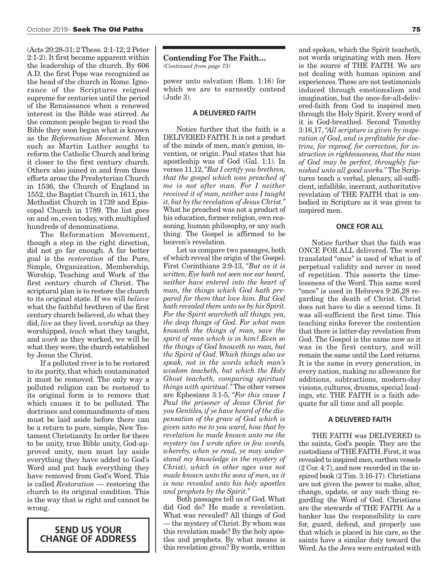(Acts 20:28-31; 2 Thess. 2:1-12; 2 Peter 2:1-2). It first became apparent within the leadership of the church. By 606 A.D. the first Pope was recognized as the head of the church in Rome. Ignorance of the Scriptures reigned supreme for centuries until the period of the Renaissance when a renewed interest in the Bible was stirred. As the common people began to read the Bible they soon began what is known as the *Reformation Movement.* Men such as Martin Luther sought to reform the Catholic Church and bring it closer to the first century church. Others also joined in and from these efforts arose the Presbyterian Church in 1536, the Church of England in 1552, the Baptist Church in 1611, the Methodist Church in 1739 and Episcopal Church in 1789. The list goes on and on, even today, with multiplied hundreds of denominations.

The Reformation Movement, though a step in the right direction, did not go far enough. A far better goal is the *restoration* of the Pure, Simple, Organization, Membership, Worship, Teaching and Work of the first century church of Christ. The scriptural plan is to restore the church to its original state. If we will *believe* what the faithful brethren of the first century church believed, *do* what they did, *live* as they lived, *worship* as they worshipped, *teach* what they taught, and *work* as they worked, we will be what they were, the church established by Jesus the Christ.

If a polluted river is to be restored to its purity, that which contaminated it must be removed. The only way a polluted religion can be restored to its original form is to remove that which causes it to be polluted. The doctrines and commandments of men must be laid aside before there can be a return to pure, simple, New Testament Christianity. In order for there to be unity, true Bible unity, God-approved unity, men must lay aside everything they have added to God's Word and put back everything they have removed from God's Word. This is called *Restoration* — restoring the church to its original condition. This is the way that is right and cannot be wrong.

### **SEND US YOUR CHANGE OF ADDRESS**

**Contending For The Faith…** *(Continued from page 73)*

power unto salvation (Rom. 1:16) for which we are to earnestly contend (Jude 3).

#### **A DELIVERED FAITH**

Notice further that the faith is a DELIVERED FAITH. It is not a product of the minds of men, man's genius, invention, or origin. Paul states that his apostleship was of God (Gal. 1:1). In verses 11,12, *"But I certify you brethren, that the gospel which was preached of me is not after man. For I neither received it of man, neither was I taught it, but by the revelation of Jesus Christ."* What he preached was not a product of his education, former religion, own reasoning, human philosophy, or any such thing. The Gospel is affirmed to be heaven's revelation.

Let us compare two passages, both of which reveal the origin of the Gospel. First Corinthians 2:9-13, *"But as it is written, Eye hath not seen nor ear heard, neither have entered into the heart of man, the things which God hath prepared for them that love him. But God hath revealed them unto us by his Spirit. For the Spirit searcheth all things, yea, the deep things of God. For what man knoweth the things of man, save the spirit of man which is in him? Even so the things of God knoweth no man, but the Spirit of God. Which things also we speak, not in the words which man's wisdom teacheth, but which the Holy Ghost teacheth, comparing spiritual things with spiritual."* The other verses are Ephesians 3:1-5, *"For this cause I Paul the prisoner of Jesus Christ for you Gentiles, if ye have heard of the dispensation of the grace of God which is given unto me to you ward, how that by revelation he made known unto me the mystery (as I wrote afore in few words, whereby, when ye read, ye may understand my knowledge in the mystery of Christ), which in other ages was not made known unto the sons of men, as it is now revealed unto his holy apostles and prophets by the Spirit."*

Both passages tell us of God. What did God do? He made a revelation. What was revealed? All things of God — the mystery of Christ. By whom was this revelation made? By the holy apostles and prophets. By what means is this revelation given? By words, written and spoken, which the Spirit teacheth, not words originating with men. Here is the source of THE FAITH. We are not dealing with human opinion and experiences. These are not testimonials induced through emotionalism and imagination, but the once-for-all-delivered-faith from God to inspired men through the Holy Spirit. Every word of it is God-breathed. Second Timothy 3:16,17, *"All scripture is given by inspiration of God, and is profitable for doctrine, for reproof, for correction, for instruction in righteousness, that the man of God may be perfect, throughly furnished unto all good works."* The Scriptures teach a verbal, plenary, all-sufficient, infallible, inerrant, authoritative revelation of THE FAITH that is embodied in Scripture as it was given to inspired men.

#### **ONCE FOR ALL**

Notice further that the faith was ONCE FOR ALL delivered. The word translated "once" is used of what is of perpetual validity and never in need of repetition. This asserts the timelessness of the Word. This same word "once" is used in Hebrews 9:26,28 regarding the death of Christ. Christ does not have to die a second time. It was all-sufficient the first time. This teaching sinks forever the contention that there is latter-day revelation from God. The Gospel is the same now as it was in the first century, and will remain the same until the Lord returns. It is the same in every generation, in every nation, making no allowance for additions, subtractions, modern-day visions, cultures, dreams, special leadings, etc. THE FAITH is a faith adequate for all time and all people.

#### **A DELIVERED FAITH**

THE FAITH was DELIVERED to the saints, God's people. They are the custodians of THE FAITH. First, it was revealed to inspired men, earthen vessels (2 Cor. 4:7), and now recorded in the inspired book (2 Tim. 3:16-17). Christians are not given the power to make, alter, change, update, or any such thing regardIng the Word of God. Christians are the stewards of THE FAITH. As a banker has the responsibility to care for, guard, defend, and properly use that which is placed in his care, so the saints have a similar duty toward the Word. As the Jews were entrusted with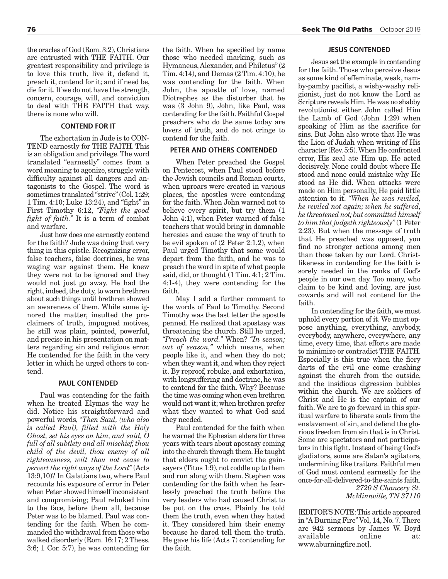the oracles of God (Rom. 3:2), Christians are entrusted with THE FAITH. Our greatest responsibility and privilege is to love this truth, live it, defend it, preach it, contend for it; and if need be, die for it. If we do not have the strength, concern, courage, will, and conviction to deal with THE FAITH that way, there is none who will.

#### **CONTEND FOR IT**

The exhortation in Jude is to CON-TEND earnestly for THE FAITH. This is an obligation and privilege. The word translated "earnestly" comes from a word meaning to agonize, struggle with difficulty against all dangers and antagonists to the Gospel. The word is sometimes translated "strive" (Col. 1:29; 1 Tim. 4:10; Luke 13:24), and "fight" in First Timothy 6:12, *"Fight the good fight of faith."* It is a term of combat and warfare.

Just how does one earnestly contend for the faith? Jude was doing that very thing in this epistle. Recognizing error, false teachers, false doctrines, he was waging war against them. He knew they were not to be ignored and they would not just go away. He had the right, indeed, the duty, to warn brethren about such things until brethren showed an awareness of them. While some ignored the matter, insulted the proclaimers of truth, impugned motives, he still was plain, pointed, powerful, and precise in his presentation on matters regarding sin and religious error. He contended for the faith in the very letter in which he urged others to contend.

#### **PAUL CONTENDED**

Paul was contending for the faith when he treated Elymas the way he did. Notice his straightforward and powerful words, *"Then Saul, (who also is called Paul), filled with the Holy Ghost, set his eyes on him, and said, O full of all subtlety and all mischief, thou child of the devil, thou enemy of all righteousness, wilt thou not cease to pervert the right ways of the Lord"* (Acts 13:9,10)? In Galatians two, where Paul recounts his exposure of error in Peter when Peter showed himself inconsistent and compromising; Paul rebuked him to the face, before them all, because Peter was to be blamed. Paul was contending for the faith. When he commanded the withdrawal from those who walked disorderly (Rom. 16:17; 2 Thess. 3:6; 1 Cor. 5:7), he was contending for the faith. When he specified by name those who needed marking, such as Hymaneus, Alexander, and Philetus" (2 Tim. 4:14), and Demas (2 Tim. 4:10), he was contending for the faith. When John, the apostle of love, named Diotrephes as the disturber that he was (3 John 9), John, like Paul, was contending for the faith. Faithful Gospel preachers who do the same today are lovers of truth, and do not cringe to contend for the faith.

#### **PETER AND OTHERS CONTENDED**

When Peter preached the Gospel on Pentecost, when Paul stood before the Jewish councils and Roman courts, when uproars were created in various places, the apostles were contending for the faith. When John warned not to believe every spirit, but try them (1 John 4:1), when Peter warned of false teachers that would bring in damnable heresies and cause the way of truth to be evil spoken of (2 Peter 2:1,2), when Paul urged Timothy that some would depart from the faith, and he was to preach the word in spite of what people said, did, or thought (1 Tim. 4:1; 2 Tim. 4:1-4), they were contending for the faith.

May I add a further comment to the words of Paul to Timothy. Second Timothy was the last letter the apostle penned. He realized that apostasy was threatening the church. Still he urged, *"Preach the word."* When? *"In season; out of season,"* which means, when people like it, and when they do not; when they want it, and when they reject it. By reproof, rebuke, and exhortation, with longsuffering and doctrine, he was to contend for the faith. Why? Because the time was coming when even brethren would not want it; when brethren prefer what they wanted to what God said they needed.

Paul contended for the faith when he warned the Ephesian elders for three years with tears about apostasy coming into the church through them. He taught that elders ought to convict the gainsayers (Titus 1:9), not coddle up to them and run along with them. Stephen was contending for the faith when he fearlessly preached the truth before the very leaders who had caused Christ to be put on the cross. Plainly he told them the truth, even when they hated it. They considered him their enemy because he dared tell them the truth. He gave his life (Acts 7) contending for the faith.

#### **JESUS CONTENDED**

Jesus set the example in contending for the faith. Those who perceive Jesus as some kind of effeminate, weak, namby-pamby pacifist, a wishy-washy religionist, just do not know the Lord as Scripture reveals Him. He was no shabby revolutionist either. John called Him the Lamb of God (John 1:29) when speaking of Him as the sacrifice for sins. But John also wrote that He was the Lion of Judah when writing of His character (Rev. 5:5). When He confronted error, His zeal ate Him up. He acted decisively. None could doubt where He stood and none could mistake why He stood as He did. When attacks were made on Him personally, He paid little attention to it. *"When he was reviled, he reviled not again; when he suffered, he threatened not; but committed himself to him that judgeth righteously"* (1 Peter 2:23). But when the message of truth that He preached was opposed, you find no stronger actions among men than those taken by our Lord. Christlikeness in contending for the faith is sorely needed in the ranks of God's people in our own day. Too many, who claim to be kind and loving, are just cowards and will not contend for the faith.

In contending for the faith, we must uphold every portion of it. We must oppose anything, everything, anybody, everybody, anywhere, everywhere, any time, every time, that efforts are made to minimize or contradict THE FAITH. Especially is this true when the fiery darts of the evil one come crashing against the church from the outside, and the insidious digression bubbles within the church. We are soldiers of Christ and He is the captain of our faith. We are to go forward in this spiritual warfare to liberate souls from the enslavement of sin, and defend the glorious freedom from sin that is in Christ. Some are spectators and not participators in this fight. Instead of being God's gladiators, some are Satan's agitators, undermining like traitors. Faithful men of God must contend earnestly for the once-for-all-delivered-to-the-saints faith.

*2720 S Chancery St. McMinnville, TN 37110*

[EDITOR'S NOTE: This article appeared in "A Burning Fire" Vol, 14, No. 7. There are 942 sermons by James W. Boyd available online at: www.aburningfire.net].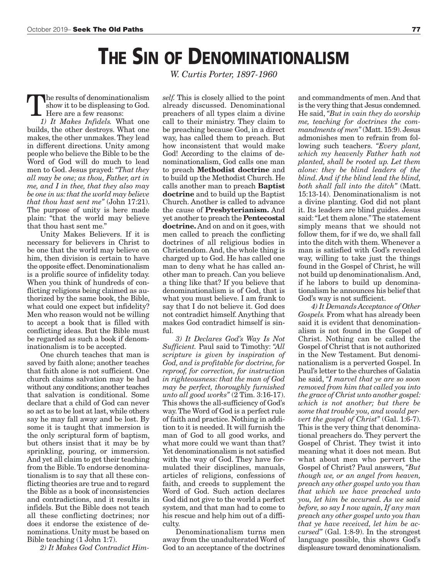## **THE SIN OF DENOMINATIONALISM**

The results of denominationalism show it to be displeasing to God. Here are a few reasons:

*1) It Makes Infidels.* What one builds, the other destroys. What one makes, the other unmakes. They lead in different directions. Unity among people who believe the Bible to be the Word of God will do much to lead men to God. Jesus prayed: *"That they all may be one; as thou, Father, art in me, and I in thee, that they also may be one in us: that the world may believe that thou hast sent me"* (John 17:21). The purpose of unity is here made plain: "that the world may believe that thou hast sent me."

Unity Makes Believers. If it is necessary for believers in Christ to be one that the world may believe on him, then division is certain to have the opposite effect. Denominationalism is a prolific source of infidelity today. When you think of hundreds of conflicting religions being claimed as authorized by the same book, the Bible, what could one expect but infidelity? Men who reason would not be willing to accept a book that is filled with conflicting ideas. But the Bible must be regarded as such a book if denominationalism is to be accepted.

One church teaches that man is saved by faith alone; another teaches that faith alone is not sufficient. One church claims salvation may be had without any conditions; another teaches that salvation is conditional. Some declare that a child of God can never so act as to be lost at last, while others say he may fall away and be lost. By some it is taught that immersion is the only scriptural form of baptism, but others insist that it may be by sprinkling, pouring, or immersion. And yet all claim to get their teaching from the Bible. To endorse denominationalism is to say that all these conflicting theories are true and to regard the Bible as a book of inconsistencies and contradictions, and it results in infidels. But the Bible does not teach all these conflicting doctrines; nor does it endorse the existence of denominations. Unity must be based on Bible teaching (1 John 1:7).

*2) It Makes God Contradict Him-*

*W. Curtis Porter, 1897-1960*

*self.* This is closely allied to the point already discussed. Denominational preachers of all types claim a divine call to their ministry. They claim to be preaching because God, in a direct way, has called them to preach. But how inconsistent that would make God! According to the claims of denominationalism, God calls one man to preach **Methodist doctrine** and to build up the Methodist Church. He calls another man to preach **Baptist doctrine** and to build up the Baptist Church. Another is called to advance the cause of **Presbyterianism.** And yet another to preach the **Pentecostal doctrine.** And on and on it goes, with men called to preach the conflicting doctrines of all religious bodies in Christendom. And, the whole thing is charged up to God. He has called one man to deny what he has called another man to preach. Can you believe a thing like that? If you believe that denominationalism is of God, that is what you must believe. I am frank to say that I do not believe it. God does not contradict himself. Anything that makes God contradict himself is sinful.

*3) It Declares God's Way Is Not Sufficient.* Paul said to Timothy: *"All scripture is given by inspiration of God, and is profitable for doctrine, for reproof, for correction, for instruction in righteousness: that the man of God may be perfect, thoroughly furnished unto all good works"* (2 Tim. 3:16-17). This shows the all-sufficiency of God's way. The Word of God is a perfect rule of faith and practice. Nothing in addition to it is needed. It will furnish the man of God to all good works, and what more could we want than that? Yet denominationalism is not satisfied with the way of God. They have formulated their disciplines, manuals, articles of religions, confessions of faith, and creeds to supplement the Word of God. Such action declares God did not give to the world a perfect system, and that man had to come to his rescue and help him out of a difficulty.

Denominationalism turns men away from the unadulterated Word of God to an acceptance of the doctrines

and commandments of men. And that is the very thing that Jesus condemned. He said, *"But in vain they do worship me, teaching for doctrines the commandments of men"* (Matt. 15:9). Jesus admonishes men to refrain from following such teachers. *"Every plant, which my heavenly Father hath not planted, shall be rooted up. Let them alone: they be blind leaders of the blind. And if the blind lead the blind, both shall fall into the ditch"* (Matt. 15:13-14). Denominationalism is not a divine planting. God did not plant it. Its leaders are blind guides. Jesus said: "Let them alone." The statement simply means that we should not follow them, for if we do, we shall fall into the ditch with them. Whenever a man is satisfied with God's revealed way, willing to take just the things found in the Gospel of Christ, he will not build up denominationalism. And, if he labors to build up denominationalism he announces his belief that God's way is not sufficient.

*4) It Demands Acceptance of Other Gospels.* From what has already been said it is evident that denominationalism is not found in the Gospel of Christ. Nothing can be called the Gospel of Christ that is not authorized in the New Testament. But denominationalism is a perverted Gospel. In Paul's letter to the churches of Galatia he said, *"I marvel that ye are so soon removed from him that called you into the grace of Christ unto another gospel: which is not another; but there be some that trouble you, and would pervert the gospel of Christ"* (Gal. 1:6-7). This is the very thing that denominational preachers do. They pervert the Gospel of Christ. They twist it into meaning what it does not mean. But what about men who pervert the Gospel of Christ? Paul answers, *"But though we, or an angel from heaven, preach any other gospel unto you than that which we have preached unto you, let him be accursed. As we said before, so say I now again, If any man preach any other gospel unto you than that ye have received, let him be accursed"* (Gal. 1:8-9). In the strongest language possible, this shows God's displeasure toward denominationalism.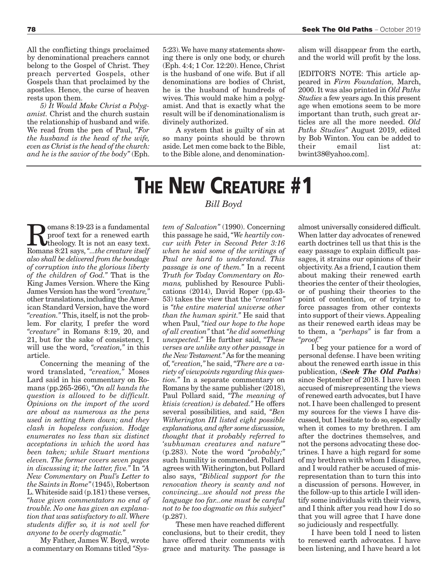All the conflicting things proclaimed by denominational preachers cannot belong to the Gospel of Christ. They preach perverted Gospels, other Gospels than that proclaimed by the apostles. Hence, the curse of heaven rests upon them.

*5) It Would Make Christ a Polygamist.* Christ and the church sustain the relationship of husband and wife. We read from the pen of Paul, *"For the husband is the head of the wife, even as Christ is the head of the church: and he is the savior of the body"* (Eph. 5:23). We have many statements showing there is only one body, or church (Eph. 4:4; 1 Cor. 12:20). Hence, Christ is the husband of one wife. But if all denominations are bodies of Christ, he is the husband of hundreds of wives. This would make him a polygamist. And that is exactly what the result will be if denominationalism is divinely authorized.

A system that is guilty of sin at so many points should be thrown aside. Let men come back to the Bible, to the Bible alone, and denominationalism will disappear from the earth, and the world will profit by the loss.

[EDITOR'S NOTE: This article appeared in *Firm Foundation,* March, 2000. It was also printed in *Old Paths Studies* a few years ago. In this present age when emotions seem to be more important than truth, such great articles are all the more needed. *Old Paths Studies"* August 2019, edited by Bob Winton. You can be added to their email list at: bwint38@yahoo.com].

# **THE NEW CREATURE #1**

**Romans 8:19-23 is a fundamental**<br>proof text for a renewed earth<br>Romans 8:21 says " the creature itself proof text for a renewed earth Romans 8:21 says, *"...the creature itself also shall be delivered from the bondage of corruption into the glorious liberty of the children of God."* That is the King James Version. Where the King James Version has the word *"creature,"* other translations, including the American Standard Version, have the word *"creation."* This, itself, is not the problem. For clarity, I prefer the word *"creature"* in Romans 8:19, 20, and 21, but for the sake of consistency, I will use the word, *"creation,"* in this article.

Concerning the meaning of the word translated, *"creation,"* Moses Lard said in his commentary on Romans (pp.265-266), *"On all hands the question is allowed to be difficult. Opinions on the import of the word are about as numerous as the pens used in setting them down; and they clash in hopeless confusion. Hodge enumerates no less than six distinct acceptations in which the word has been taken; while Stuart mentions eleven. The former covers seven pages in discussing it; the latter, five."* In *"A New Commentary on Paul's Letter to the Saints in Rome"* (1945), Robertson L. Whiteside said (p.181) these verses, *"have given commentators no end of trouble. No one has given an explanation that was satisfactory to all. Where students differ so, it is not well for anyone to be overly dogmatic."*

My Father, James W. Boyd, wrote a commentary on Romans titled *"Sys-*

#### *Bill Boyd*

*tem of Salvation"* (1990). Concerning this passage he said, *"We heartily concur with Peter in Second Peter 3:16 when he said some of the writings of Paul are hard to understand. This passage is one of them."* In a recent *Truth for Today Commentary on Romans,* published by Resource Publications (2014), David Roper (pp.43- 53) takes the view that the *"creation"* is *"the entire material universe other than the human spirit."* He said that when Paul, *"tied our hope to the hope of all creation"* that *"he did something unexpected."* He further said, *"These verses are unlike any other passage in the New Testament."* As for the meaning of, *"creation,"* he said, *"There are a variety of viewpoints regarding this question."* In a separate commentary on Romans by the same publisher (2018), Paul Pollard said, *"The meaning of ktisis (creation) is debated."* He offers several possibilities, and said, *"Ben Witherington III listed eight possible explanations, and after some discussion, thought that it probably referred to 'subhuman creatures and nature'"* (p.283). Note the word *"probably;"* such humility is commended. Pollard agrees with Witherington, but Pollard also says, *"Biblical support for the renovation theory is scanty and not convincing...we should not press the language too far...one must be careful not to be too dogmatic on this subject"* (p.287).

These men have reached different conclusions, but to their credit, they have offered their comments with grace and maturity. The passage is

almost universally considered difficult. When latter day advocates of renewed earth doctrines tell us that this is the easy passage to explain difficult passages, it strains our opinions of their objectivity. As a friend, I caution them about making their renewed earth theories the center of their theologies, or of pushing their theories to the point of contention, or of trying to force passages from other contexts into support of their views. Appealing as their renewed earth ideas may be to them, a *"perhaps"* is far from a *"proof."*

I beg your patience for a word of personal defense. I have been writing about the renewed earth issue in this publication, (*Seek The Old Paths*) since September of 2018. I have been accused of misrepresenting the views of renewed earth advocates, but I have not. I have been challenged to present my sources for the views I have discussed, but I hesitate to do so, especially when it comes to my brethren. I am after the doctrines themselves, and not the persons advocating these doctrines. I have a high regard for some of my brethren with whom I disagree, and I would rather be accused of misrepresentation than to turn this into a discussion of persons. However, in the follow-up to this article I will identify some individuals with their views, and I think after you read how I do so that you will agree that I have done so judiciously and respectfully.

I have been told I need to listen to renewed earth advocates. I have been listening, and I have heard a lot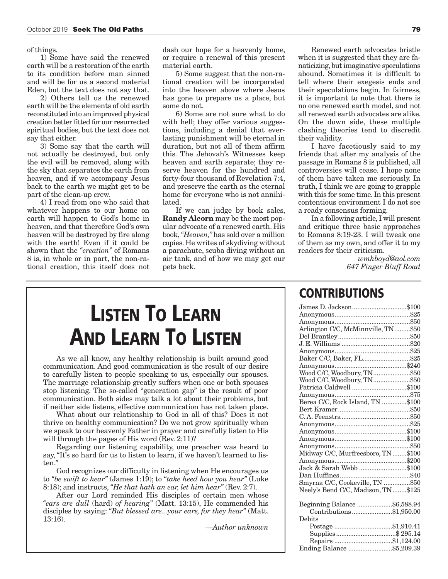of things.

1) Some have said the renewed earth will be a restoration of the earth to its condition before man sinned and will be for us a second material Eden, but the text does not say that.

2) Others tell us the renewed earth will be the elements of old earth reconstituted into an improved physical creation better fitted for our resurrected spiritual bodies, but the text does not say that either.

3) Some say that the earth will not actually be destroyed, but only the evil will be removed, along with the sky that separates the earth from heaven, and if we accompany Jesus back to the earth we might get to be part of the clean-up crew.

4) I read from one who said that whatever happens to our home on earth will happen to God's home in heaven, and that therefore God's own heaven will be destroyed by fire along with the earth! Even if it could be shown that the *"creation"* of Romans 8 is, in whole or in part, the non-rational creation, this itself does not

dash our hope for a heavenly home, or require a renewal of this present material earth.

5) Some suggest that the non-rational creation will be incorporated into the heaven above where Jesus has gone to prepare us a place, but some do not.

6) Some are not sure what to do with hell; they offer various suggestions, including a denial that everlasting punishment will be eternal in duration, but not all of them affirm this. The Jehovah's Witnesses keep heaven and earth separate; they reserve heaven for the hundred and forty-four thousand of Revelation 7:4, and preserve the earth as the eternal home for everyone who is not annihilated.

If we can judge by book sales, **Randy Alcorn** may be the most popular advocate of a renewed earth. His book, *"Heaven,"* has sold over a million copies. He writes of skydiving without a parachute, scuba diving without an air tank, and of how we may get our pets back.

Renewed earth advocates bristle when it is suggested that they are fanaticizing, but imaginative speculations abound. Sometimes it is difficult to tell where their exegesis ends and their speculations begin. In fairness, it is important to note that there is no one renewed earth model, and not all renewed earth advocates are alike. On the down side, these multiple clashing theories tend to discredit their validity.

I have facetiously said to my friends that after my analysis of the passage in Romans 8 is published, all controversies will cease. I hope none of them have taken me seriously. In truth, I think we are going to grapple with this for some time. In this present contentious environment I do not see a ready consensus forming.

In a following article, I will present and critique three basic approaches to Romans 8:19-23. I will tweak one of them as my own, and offer it to my readers for their criticism.

> *wmhboyd@aol.com 647 Finger Bluff Road*

## **LISTEN TO LEARN AND LEARN TO LISTEN**

As we all know, any healthy relationship is built around good communication. And good communication is the result of our desire to carefully listen to people speaking to us, especially our spouses. The marriage relationship greatly suffers when one or both spouses stop listening. The so-called "generation gap" is the result of poor communication. Both sides may talk a lot about their problems, but if neither side listens, effective communication has not taken place.

What about our relationship to God in all of this? Does it not thrive on healthy communication? Do we not grow spiritually when we speak to our heavenly Father in prayer and carefully listen to His will through the pages of His word (Rev. 2:11)?

Regarding our listening capability, one preacher was heard to say, "It's so hard for us to listen to learn, if we haven't learned to listen."

God recognizes our difficulty in listening when He encourages us to *"be swift to hear"* (James 1:19); to *"take heed how you hear"* (Luke 8:18); and instructs, *"He that hath an ear, let him hear"* (Rev. 2:7).

After our Lord reminded His disciples of certain men whose *"ears are dull* (hard) *of hearing"* (Matt. 13:15), He commended his disciples by saying: *"But blessed are...your ears, for they hear"* (Matt. 13:16).

—*Author unknown*

### **CONTRIBUTIONS**

| James D. Jackson\$100              |  |
|------------------------------------|--|
|                                    |  |
|                                    |  |
| Arlington C/C, McMinnville, TN\$50 |  |
|                                    |  |
|                                    |  |
|                                    |  |
| Baker C/C, Baker, FL\$25           |  |
|                                    |  |
| Wood C/C, Woodbury, TN\$50         |  |
| Wood C/C, Woodbury, TN\$50         |  |
| Patricia Caldwell \$100            |  |
|                                    |  |
| Berea C/C, Rock Island, TN \$100   |  |
|                                    |  |
|                                    |  |
|                                    |  |
|                                    |  |
|                                    |  |
|                                    |  |
| Midway C/C, Murfreesboro, TN \$100 |  |
|                                    |  |
| Jack & Sarah Webb \$100            |  |
|                                    |  |
| Smyrna C/C, Cookeville, TN \$50    |  |
| Neely's Bend C/C, Madison, TN\$125 |  |
|                                    |  |
| Beginning Balance \$6,588.94       |  |
| Contributions\$1,950.00            |  |
| Debits                             |  |
| Postage \$1,910.41                 |  |
|                                    |  |
| Repairs \$1,124.00                 |  |
| Ending Balance \$5,209.39          |  |